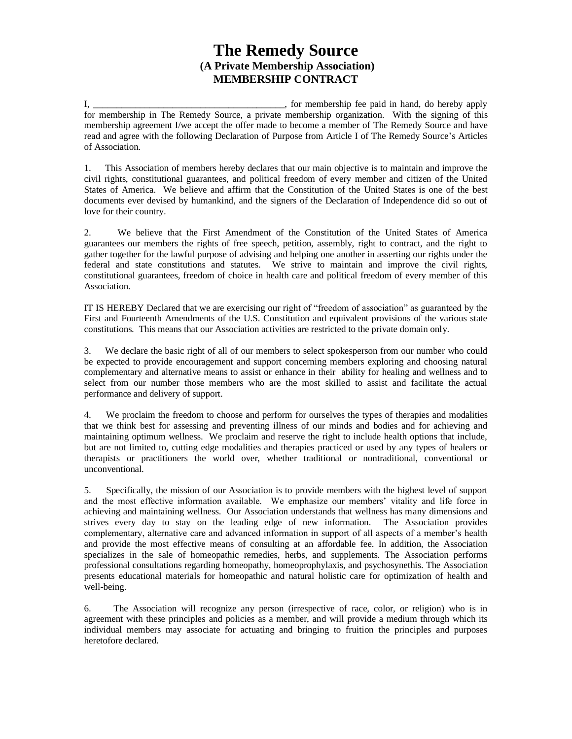## **The Remedy Source (A Private Membership Association) MEMBERSHIP CONTRACT**

I, \_\_\_\_\_\_\_\_\_\_\_\_\_\_\_\_\_\_\_\_\_\_\_\_\_\_\_\_\_\_\_\_\_\_\_\_\_\_\_\_\_, for membership fee paid in hand, do hereby apply for membership in The Remedy Source, a private membership organization. With the signing of this membership agreement I/we accept the offer made to become a member of The Remedy Source and have read and agree with the following Declaration of Purpose from Article I of The Remedy Source's Articles of Association.

1. This Association of members hereby declares that our main objective is to maintain and improve the civil rights, constitutional guarantees, and political freedom of every member and citizen of the United States of America. We believe and affirm that the Constitution of the United States is one of the best documents ever devised by humankind, and the signers of the Declaration of Independence did so out of love for their country.

2. We believe that the First Amendment of the Constitution of the United States of America guarantees our members the rights of free speech, petition, assembly, right to contract, and the right to gather together for the lawful purpose of advising and helping one another in asserting our rights under the federal and state constitutions and statutes. We strive to maintain and improve the civil rights, constitutional guarantees, freedom of choice in health care and political freedom of every member of this Association.

IT IS HEREBY Declared that we are exercising our right of "freedom of association" as guaranteed by the First and Fourteenth Amendments of the U.S. Constitution and equivalent provisions of the various state constitutions. This means that our Association activities are restricted to the private domain only.

3. We declare the basic right of all of our members to select spokesperson from our number who could be expected to provide encouragement and support concerning members exploring and choosing natural complementary and alternative means to assist or enhance in their ability for healing and wellness and to select from our number those members who are the most skilled to assist and facilitate the actual performance and delivery of support.

4. We proclaim the freedom to choose and perform for ourselves the types of therapies and modalities that we think best for assessing and preventing illness of our minds and bodies and for achieving and maintaining optimum wellness. We proclaim and reserve the right to include health options that include, but are not limited to, cutting edge modalities and therapies practiced or used by any types of healers or therapists or practitioners the world over, whether traditional or nontraditional, conventional or unconventional.

5. Specifically, the mission of our Association is to provide members with the highest level of support and the most effective information available. We emphasize our members' vitality and life force in achieving and maintaining wellness. Our Association understands that wellness has many dimensions and strives every day to stay on the leading edge of new information. The Association provides complementary, alternative care and advanced information in support of all aspects of a member's health and provide the most effective means of consulting at an affordable fee. In addition, the Association specializes in the sale of homeopathic remedies, herbs, and supplements. The Association performs professional consultations regarding homeopathy, homeoprophylaxis, and psychosynethis. The Association presents educational materials for homeopathic and natural holistic care for optimization of health and well-being.

6. The Association will recognize any person (irrespective of race, color, or religion) who is in agreement with these principles and policies as a member, and will provide a medium through which its individual members may associate for actuating and bringing to fruition the principles and purposes heretofore declared.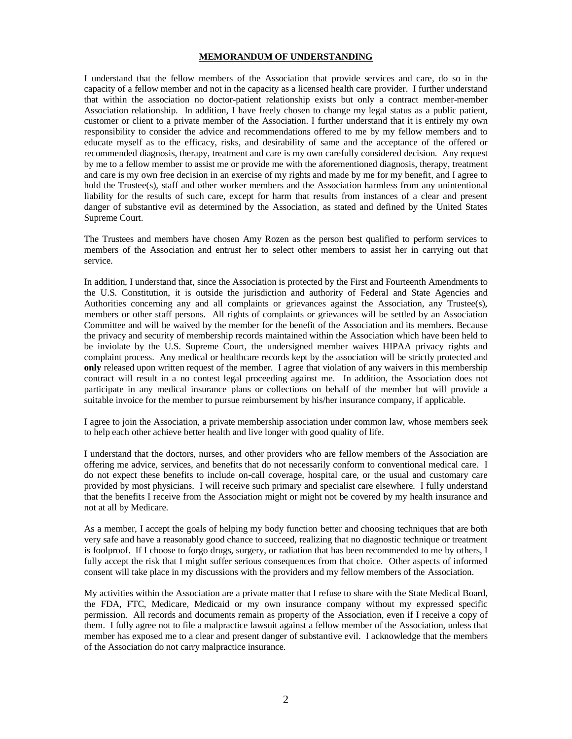## **MEMORANDUM OF UNDERSTANDING**

I understand that the fellow members of the Association that provide services and care, do so in the capacity of a fellow member and not in the capacity as a licensed health care provider. I further understand that within the association no doctor-patient relationship exists but only a contract member-member Association relationship. In addition, I have freely chosen to change my legal status as a public patient, customer or client to a private member of the Association. I further understand that it is entirely my own responsibility to consider the advice and recommendations offered to me by my fellow members and to educate myself as to the efficacy, risks, and desirability of same and the acceptance of the offered or recommended diagnosis, therapy, treatment and care is my own carefully considered decision. Any request by me to a fellow member to assist me or provide me with the aforementioned diagnosis, therapy, treatment and care is my own free decision in an exercise of my rights and made by me for my benefit, and I agree to hold the Trustee(s), staff and other worker members and the Association harmless from any unintentional liability for the results of such care, except for harm that results from instances of a clear and present danger of substantive evil as determined by the Association, as stated and defined by the United States Supreme Court.

The Trustees and members have chosen Amy Rozen as the person best qualified to perform services to members of the Association and entrust her to select other members to assist her in carrying out that service.

In addition, I understand that, since the Association is protected by the First and Fourteenth Amendments to the U.S. Constitution, it is outside the jurisdiction and authority of Federal and State Agencies and Authorities concerning any and all complaints or grievances against the Association, any Trustee(s), members or other staff persons. All rights of complaints or grievances will be settled by an Association Committee and will be waived by the member for the benefit of the Association and its members. Because the privacy and security of membership records maintained within the Association which have been held to be inviolate by the U.S. Supreme Court, the undersigned member waives HIPAA privacy rights and complaint process. Any medical or healthcare records kept by the association will be strictly protected and **only** released upon written request of the member. I agree that violation of any waivers in this membership contract will result in a no contest legal proceeding against me. In addition, the Association does not participate in any medical insurance plans or collections on behalf of the member but will provide a suitable invoice for the member to pursue reimbursement by his/her insurance company, if applicable.

I agree to join the Association, a private membership association under common law, whose members seek to help each other achieve better health and live longer with good quality of life.

I understand that the doctors, nurses, and other providers who are fellow members of the Association are offering me advice, services, and benefits that do not necessarily conform to conventional medical care. I do not expect these benefits to include on-call coverage, hospital care, or the usual and customary care provided by most physicians. I will receive such primary and specialist care elsewhere. I fully understand that the benefits I receive from the Association might or might not be covered by my health insurance and not at all by Medicare.

As a member, I accept the goals of helping my body function better and choosing techniques that are both very safe and have a reasonably good chance to succeed, realizing that no diagnostic technique or treatment is foolproof. If I choose to forgo drugs, surgery, or radiation that has been recommended to me by others, I fully accept the risk that I might suffer serious consequences from that choice. Other aspects of informed consent will take place in my discussions with the providers and my fellow members of the Association.

My activities within the Association are a private matter that I refuse to share with the State Medical Board, the FDA, FTC, Medicare, Medicaid or my own insurance company without my expressed specific permission. All records and documents remain as property of the Association, even if I receive a copy of them. I fully agree not to file a malpractice lawsuit against a fellow member of the Association, unless that member has exposed me to a clear and present danger of substantive evil. I acknowledge that the members of the Association do not carry malpractice insurance.